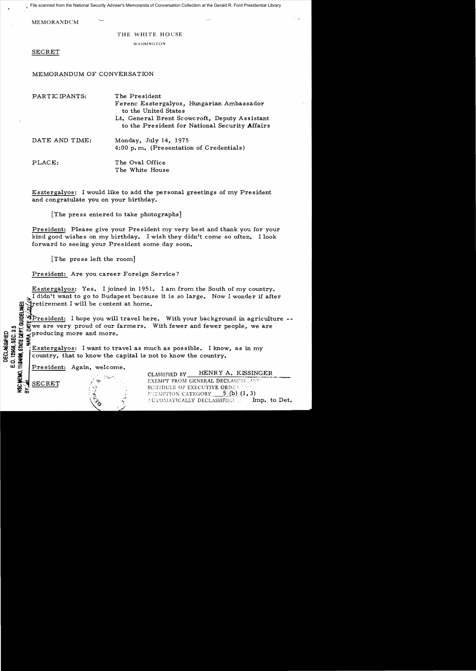File scanned from the National Security Adviser's Memoranda of Conversation Collection at the Gerald R. Ford Presidential Library

MEMORANDCM

## THE WHITE HOCSE

WASHINGTON

SECRET

## MEMORANDUM OF CONVERSATION

| PARTIC IPANTS: | The President<br>Ferenc Esztergalyos, Hungarian Ambassador<br>to the United States              |
|----------------|-------------------------------------------------------------------------------------------------|
|                | Lt. General Brent Scowcroft, Deputy Assistant<br>to the President for National Security Affairs |
| DATE AND TIME: | Monday, July 14, 1975<br>4:00 p.m. (Presentation of Credentials)                                |
| PLACE:         | The Oval Office<br>The White House                                                              |

Esztergalyos: I would like to add the personal greetings of my President and congratulate you on your birthday.

[The press entered to take photographs]

President: Please give your President my very best and thank you for your kind good wishes on my birthday. I wish they didn't come so often. I look forward to seeing your President some day soon.

[The press left the room.]

President: Are you career Foreign Service?

Esztergalyos: Yes. I joined in 1951. I am from the South of my country. I didn't want to go to Budapest because it is so large. Now I wonder if after

Solutions I will be content at home.<br>  $\frac{3}{2}$ <br>  $\frac{1}{2}$ <br>  $\frac{1}{2}$ <br>  $\frac{1}{2}$ <br>  $\frac{1}{2}$ <br>  $\frac{1}{2}$ <br>  $\frac{1}{2}$ <br>  $\frac{1}{2}$ <br>  $\frac{1}{2}$ <br>  $\frac{1}{2}$ <br>  $\frac{1}{2}$ <br>  $\frac{1}{2}$ <br>  $\frac{1}{2}$ <br>  $\frac{1}{2}$ <br>  $\frac{1}{2}$ <br>  $\frac{1}{2}$ <br>  $\frac{1}{2}$ **i**President: I hope you will travel here. With your background in agriculture -we are very proud of our farmers. With fewer and fewer people, we are<br>exproducing more and more.<br> $\frac{1}{2}$ <br> $\frac{1}{2}$  Esztergalyos: I want to travel as much as possible. I know, as in my

 $\frac{1}{3}$ <br> $\frac{1}{3}$ <br> $\frac{1}{3}$ <br> $\frac{1}{3}$ <br> $\frac{1}{3}$ <br> $\frac{1}{3}$ <br> $\frac{1}{3}$ <br> $\frac{1}{3}$ <br> $\frac{1}{3}$ <br> $\frac{1}{3}$ <br> $\frac{1}{3}$ <br> $\frac{1}{3}$ <br> $\frac{1}{3}$ <br> $\frac{1}{3}$ <br> $\frac{1}{3}$ <br> $\frac{1}{3}$ <br> $\frac{1}{3}$ <br> $\frac{1}{3}$ <br> $\frac{1}{3}$ <br> $\frac{1}{3}$ <br> $\frac{1}{3}$ <br> $\frac{1}{3}$ <br> $\overline{3}\,\overline{2}\,\overline{5}\,$   $\overline{5}\,\overline{2}$  .  $\frac{E_{\text{Sztergalyos:}}{\text{Country, that to know the capital is not to know the country.}}$ <br>President: Again. welcome.

 $\mathbf{w} \equiv \begin{bmatrix} \n\text{President:} & \text{Again, welcome.} \n\end{bmatrix}$ 

ក៏ក្នុំ $\frac{3}{2}$ 

SECRET

EXEMPT FROM GENERAL DECLASSTFLUATT CLASSIFIED BY HENRY A. KISSINGER SCHEDULE OF EXECUTIVE ORDER !! EXEMPTION CATEGORY  $5$  (b)  $(1,3)$ AUTOMATICALLY DECLASSIFIED . Imp. to Det.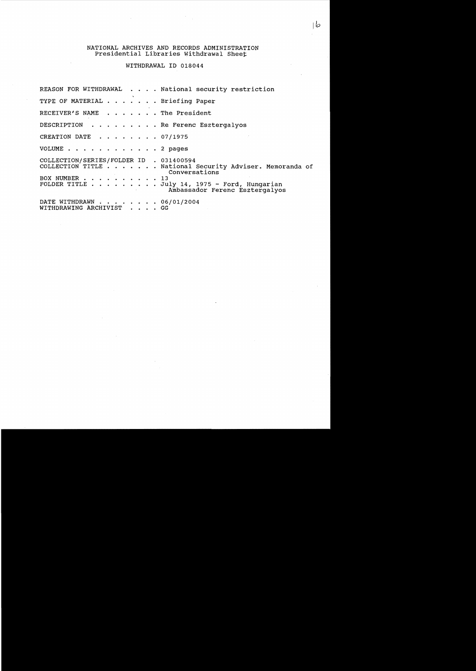## NATIONAL ARCHIVES AND RECORDS ADMINISTRATION Presidential Libraries withdrawal Sheet

## WITHDRAWAL ID 018044

REASON FOR WITHDRAWAL . . . . National security restriction TYPE OF MATERIAL . . . . . . Briefing Paper RECEIVER'S NAME . . . . . . The President DESCRIPTION . . . . . . . . Re Ferenc Esztergalyos DESCRIPTION . . . . . . . . . Re Ferer<br>CREATION DATE . . . . . . . 07/1975  $VOLUTIONE$  . . . . . . . . . . . 2 pages COLLECTION/SERIES/FOLDER ID COLLECTION/SERIES/FOLDER ID . 031400594<br>COLLECTION TITLE . . . . . . National Security Adviser. Memoranda of BOX NUMBER ••. · FOLDER TITLE • . · Conversations • • • • • • • 13 • July 14, 1975 - Ford, Hungarian Ambassador Ferenc Esztergalyos AMDASSAQ<br>DATE WITHDRAWN . . . . . . . . 06/01/2004<br>WITHDRAWING ARCHIVIST . . . . GG